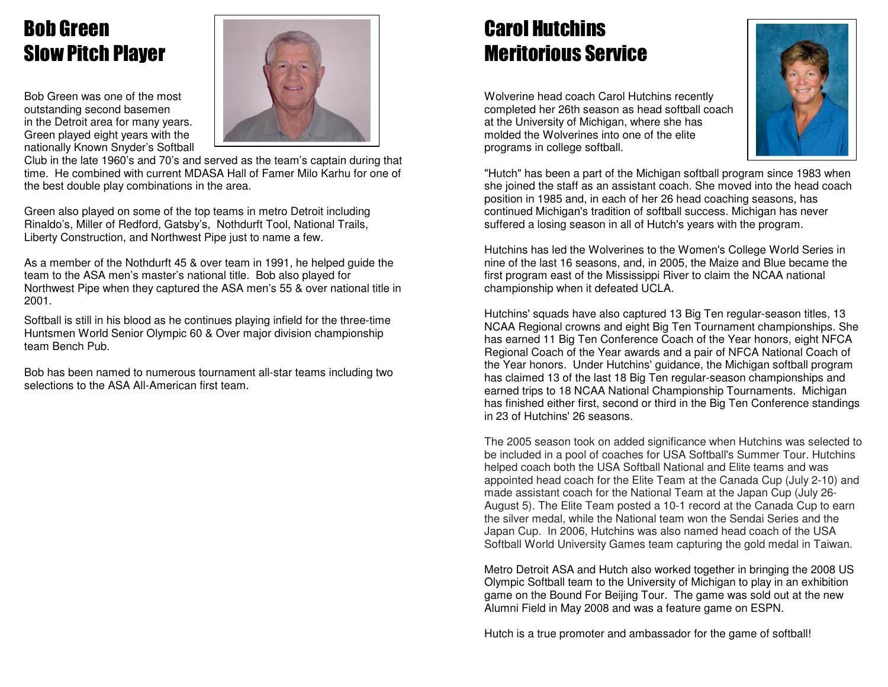# Bob Green Slow Pitch Player

Bob Green was one of the most outstanding second basemen in the Detroit area for many years. Green played eight years with the nationally Known Snyder's Softball



 Club in the late 1960's and 70's and served as the team's captain during that time. He combined with current MDASA Hall of Famer Milo Karhu for one of the best double play combinations in the area.

Green also played on some of the top teams in metro Detroit including Rinaldo's, Miller of Redford, Gatsby's, Nothdurft Tool, National Trails, Liberty Construction, and Northwest Pipe just to name a few.

As a member of the Nothdurft 45 & over team in 1991, he helped guide the team to the ASA men's master's national title. Bob also played for Northwest Pipe when they captured the ASA men's 55 & over national title in 2001.

Softball is still in his blood as he continues playing infield for the three-time Huntsmen World Senior Olympic 60 & Over major division championship team Bench Pub.

Bob has been named to numerous tournament all-star teams including two selections to the ASA All-American first team.

# Carol Hutchins Meritorious Service

Wolverine head coach Carol Hutchins recently completed her 26th season as head softball coach at the University of Michigan, where she has molded the Wolverines into one of the elite programs in college softball.



"Hutch" has been a part of the Michigan softball program since 1983 when she joined the staff as an assistant coach. She moved into the head coach position in 1985 and, in each of her 26 head coaching seasons, has continued Michigan's tradition of softball success. Michigan has never suffered a losing season in all of Hutch's years with the program.

Hutchins has led the Wolverines to the Women's College World Series in nine of the last 16 seasons, and, in 2005, the Maize and Blue became the first program east of the Mississippi River to claim the NCAA national championship when it defeated UCLA.

Hutchins' squads have also captured 13 Big Ten regular-season titles, 13 NCAA Regional crowns and eight Big Ten Tournament championships. She has earned 11 Big Ten Conference Coach of the Year honors, eight NFCA Regional Coach of the Year awards and a pair of NFCA National Coach of the Year honors. Under Hutchins' guidance, the Michigan softball program has claimed 13 of the last 18 Big Ten regular-season championships and earned trips to 18 NCAA National Championship Tournaments. Michigan has finished either first, second or third in the Big Ten Conference standings in 23 of Hutchins' 26 seasons.

The 2005 season took on added significance when Hutchins was selected to be included in a pool of coaches for USA Softball's Summer Tour. Hutchins helped coach both the USA Softball National and Elite teams and was appointed head coach for the Elite Team at the Canada Cup (July 2-10) and made assistant coach for the National Team at the Japan Cup (July 26- August 5). The Elite Team posted a 10-1 record at the Canada Cup to earn the silver medal, while the National team won the Sendai Series and the Japan Cup. In 2006, Hutchins was also named head coach of the USA Softball World University Games team capturing the gold medal in Taiwan.

Metro Detroit ASA and Hutch also worked together in bringing the 2008 US Olympic Softball team to the University of Michigan to play in an exhibition game on the Bound For Beijing Tour. The game was sold out at the new Alumni Field in May 2008 and was a feature game on ESPN.

Hutch is a true promoter and ambassador for the game of softball!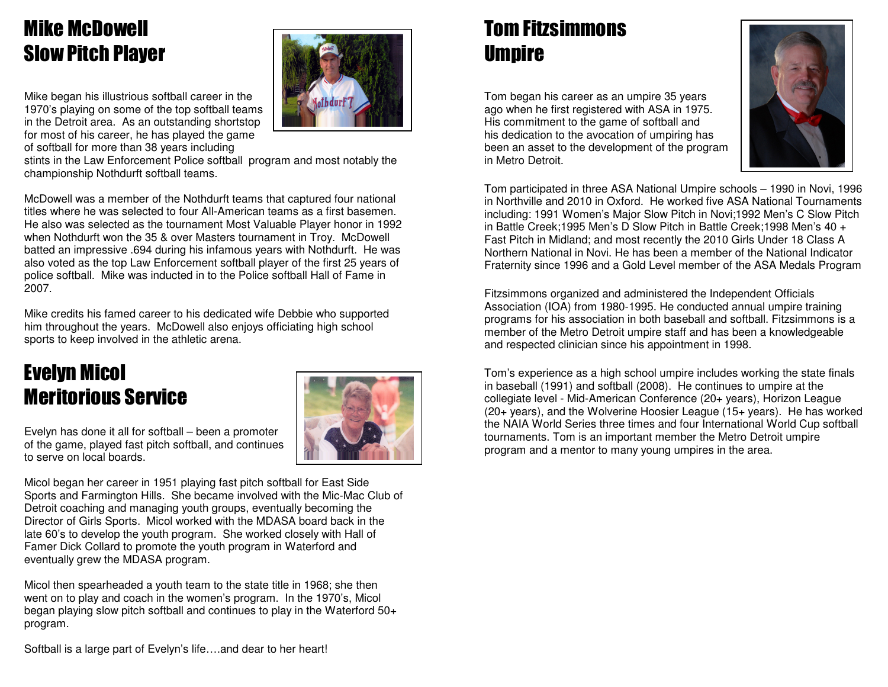# Mike McDowell Slow Pitch Player

Mike began his illustrious softball career in the 1970's playing on some of the top softball teams in the Detroit area. As an outstanding shortstop for most of his career, he has played the game of softball for more than 38 years including

 stints in the Law Enforcement Police softball program and most notably the championship Nothdurft softball teams.

McDowell was a member of the Nothdurft teams that captured four national titles where he was selected to four All-American teams as a first basemen. He also was selected as the tournament Most Valuable Player honor in 1992 when Nothdurft won the 35 & over Masters tournament in Troy. McDowell batted an impressive .694 during his infamous years with Nothdurft. He was also voted as the top Law Enforcement softball player of the first 25 years of police softball. Mike was inducted in to the Police softball Hall of Fame in 2007.

Mike credits his famed career to his dedicated wife Debbie who supported him throughout the years. McDowell also enjoys officiating high school sports to keep involved in the athletic arena.

#### Evelyn Micol Meritorious Service



**othdurk** 

Evelyn has done it all for softball – been a promoter of the game, played fast pitch softball, and continues to serve on local boards.

Micol began her career in 1951 playing fast pitch softball for East Side Sports and Farmington Hills. She became involved with the Mic-Mac Club of Detroit coaching and managing youth groups, eventually becoming the Director of Girls Sports. Micol worked with the MDASA board back in the late 60's to develop the youth program. She worked closely with Hall of Famer Dick Collard to promote the youth program in Waterford and eventually grew the MDASA program.

Micol then spearheaded a youth team to the state title in 1968; she then went on to play and coach in the women's program. In the 1970's, Micol began playing slow pitch softball and continues to play in the Waterford 50+ program.

## Tom Fitzsimmons **Umpire**

Tom began his career as an umpire 35 years ago when he first registered with ASA in 1975. His commitment to the game of softball and his dedication to the avocation of umpiring has been an asset to the development of the program in Metro Detroit.



Tom participated in three ASA National Umpire schools – 1990 in Novi, 1996 in Northville and 2010 in Oxford. He worked five ASA National Tournaments including: 1991 Women's Major Slow Pitch in Novi;1992 Men's C Slow Pitch in Battle Creek;1995 Men's D Slow Pitch in Battle Creek;1998 Men's 40 + Fast Pitch in Midland; and most recently the 2010 Girls Under 18 Class A Northern National in Novi. He has been a member of the National Indicator Fraternity since 1996 and a Gold Level member of the ASA Medals Program

Fitzsimmons organized and administered the Independent Officials Association (IOA) from 1980-1995. He conducted annual umpire training programs for his association in both baseball and softball. Fitzsimmons is a member of the Metro Detroit umpire staff and has been a knowledgeable and respected clinician since his appointment in 1998.

Tom's experience as a high school umpire includes working the state finals in baseball (1991) and softball (2008). He continues to umpire at the collegiate level - Mid-American Conference (20+ years), Horizon League (20+ years), and the Wolverine Hoosier League (15+ years). He has worked the NAIA World Series three times and four International World Cup softball tournaments. Tom is an important member the Metro Detroit umpire program and a mentor to many young umpires in the area.

Softball is a large part of Evelyn's life….and dear to her heart!